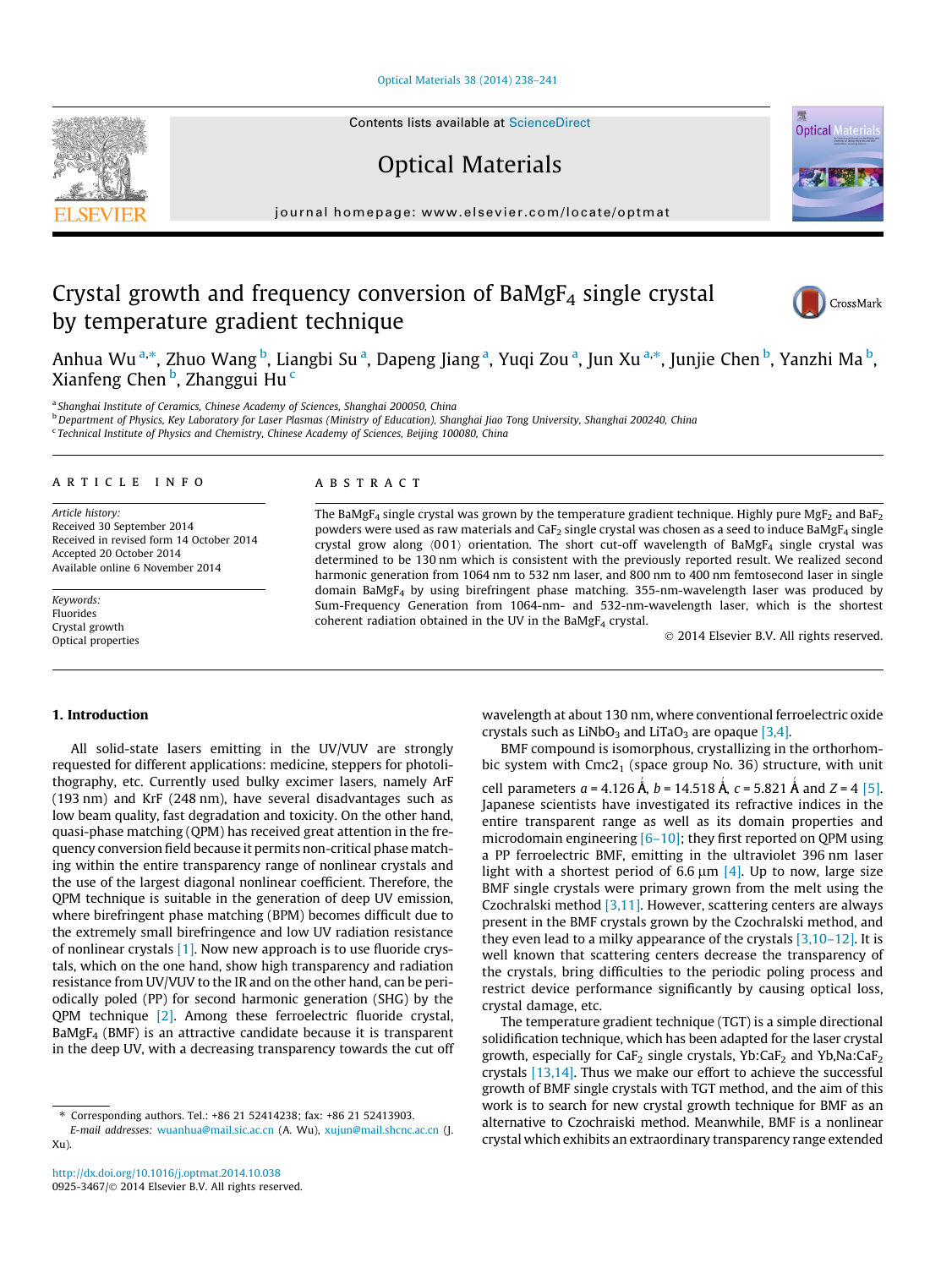[Optical Materials 38 \(2014\) 238–241](http://dx.doi.org/10.1016/j.optmat.2014.10.038)

Contents lists available at [ScienceDirect](http://www.sciencedirect.com/science/journal/09253467)

Optical Materials

journal homepage: [www.elsevier.com/locate/optmat](http://www.elsevier.com/locate/optmat)

# Crystal growth and frequency conversion of  $BaMgF<sub>4</sub>$  single crystal by temperature gradient technique

Anhua Wu<sup>a,</sup>\*, Zhuo Wang <sup>b</sup>, Liangbi Su <sup>a</sup>, Dapeng Jiang <sup>a</sup>, Yuqi Zou <sup>a</sup>, Jun Xu <sup>a,</sup>\*, Junjie Chen <sup>b</sup>, Yanzhi Ma <sup>b</sup>, Xianfeng Chen <sup>b</sup>, Zhanggui Hu <sup>c</sup>

<sup>a</sup> Shanghai Institute of Ceramics, Chinese Academy of Sciences, Shanghai 200050, China

<sup>b</sup> Department of Physics, Key Laboratory for Laser Plasmas (Ministry of Education), Shanghai Jiao Tong University, Shanghai 200240, China <sup>c</sup> Technical Institute of Physics and Chemistry, Chinese Academy of Sciences, Beijing 100080, China

#### article info

Article history: Received 30 September 2014 Received in revised form 14 October 2014 Accepted 20 October 2014 Available online 6 November 2014

Keywords: Fluorides Crystal growth Optical properties

# **ABSTRACT**

The BaMgF<sub>4</sub> single crystal was grown by the temperature gradient technique. Highly pure MgF<sub>2</sub> and BaF<sub>2</sub> powders were used as raw materials and CaF<sub>2</sub> single crystal was chosen as a seed to induce BaMgF<sub>4</sub> single crystal grow along  $(001)$  orientation. The short cut-off wavelength of BaMgF<sub>4</sub> single crystal was determined to be 130 nm which is consistent with the previously reported result. We realized second harmonic generation from 1064 nm to 532 nm laser, and 800 nm to 400 nm femtosecond laser in single domain BaMgF4 by using birefringent phase matching. 355-nm-wavelength laser was produced by Sum-Frequency Generation from 1064-nm- and 532-nm-wavelength laser, which is the shortest coherent radiation obtained in the UV in the BaMg $F_4$  crystal.

- 2014 Elsevier B.V. All rights reserved.

### 1. Introduction

All solid-state lasers emitting in the UV/VUV are strongly requested for different applications: medicine, steppers for photolithography, etc. Currently used bulky excimer lasers, namely ArF (193 nm) and KrF (248 nm), have several disadvantages such as low beam quality, fast degradation and toxicity. On the other hand, quasi-phase matching (QPM) has received great attention in the frequency conversion field because it permits non-critical phase matching within the entire transparency range of nonlinear crystals and the use of the largest diagonal nonlinear coefficient. Therefore, the QPM technique is suitable in the generation of deep UV emission, where birefringent phase matching (BPM) becomes difficult due to the extremely small birefringence and low UV radiation resistance of nonlinear crystals [\[1\]](#page-3-0). Now new approach is to use fluoride crystals, which on the one hand, show high transparency and radiation resistance from UV/VUV to the IR and on the other hand, can be periodically poled (PP) for second harmonic generation (SHG) by the QPM technique [\[2\].](#page-3-0) Among these ferroelectric fluoride crystal, BaMgF4 (BMF) is an attractive candidate because it is transparent in the deep UV, with a decreasing transparency towards the cut off wavelength at about 130 nm, where conventional ferroelectric oxide crystals such as LiNbO<sub>3</sub> and LiTaO<sub>3</sub> are opaque [\[3,4\].](#page-3-0)

BMF compound is isomorphous, crystallizing in the orthorhombic system with  $Cmc2<sub>1</sub>$  (space group No. 36) structure, with unit cell parameters  $a = 4.126 \, \text{\AA}$ ,  $b = 14.518 \, \text{\AA}$ ,  $c = 5.821 \, \text{\AA}$  and  $Z = 4$  [\[5\].](#page-3-0) Japanese scientists have investigated its refractive indices in the entire transparent range as well as its domain properties and microdomain engineering [6-10]; they first reported on QPM using a PP ferroelectric BMF, emitting in the ultraviolet 396 nm laser light with a shortest period of 6.6  $\mu$ m [\[4\].](#page-3-0) Up to now, large size BMF single crystals were primary grown from the melt using the Czochralski method  $\left[3,11\right]$ . However, scattering centers are always present in the BMF crystals grown by the Czochralski method, and they even lead to a milky appearance of the crystals  $[3,10-12]$ . It is well known that scattering centers decrease the transparency of the crystals, bring difficulties to the periodic poling process and restrict device performance significantly by causing optical loss, crystal damage, etc.

The temperature gradient technique (TGT) is a simple directional solidification technique, which has been adapted for the laser crystal growth, especially for  $CaF<sub>2</sub>$  single crystals, Yb:CaF<sub>2</sub> and Yb,Na:CaF<sub>2</sub> crystals [\[13,14\]](#page-3-0). Thus we make our effort to achieve the successful growth of BMF single crystals with TGT method, and the aim of this work is to search for new crystal growth technique for BMF as an alternative to Czochraiski method. Meanwhile, BMF is a nonlinear crystal which exhibits an extraordinary transparency range extended





**Optical Materi** 

<sup>⇑</sup> Corresponding authors. Tel.: +86 21 52414238; fax: +86 21 52413903.

E-mail addresses: [wuanhua@mail.sic.ac.cn](mailto:wuanhua@mail.sic.ac.cn) (A. Wu), [xujun@mail.shcnc.ac.cn](mailto:xujun@mail.shcnc.ac.cn) (J. Xu).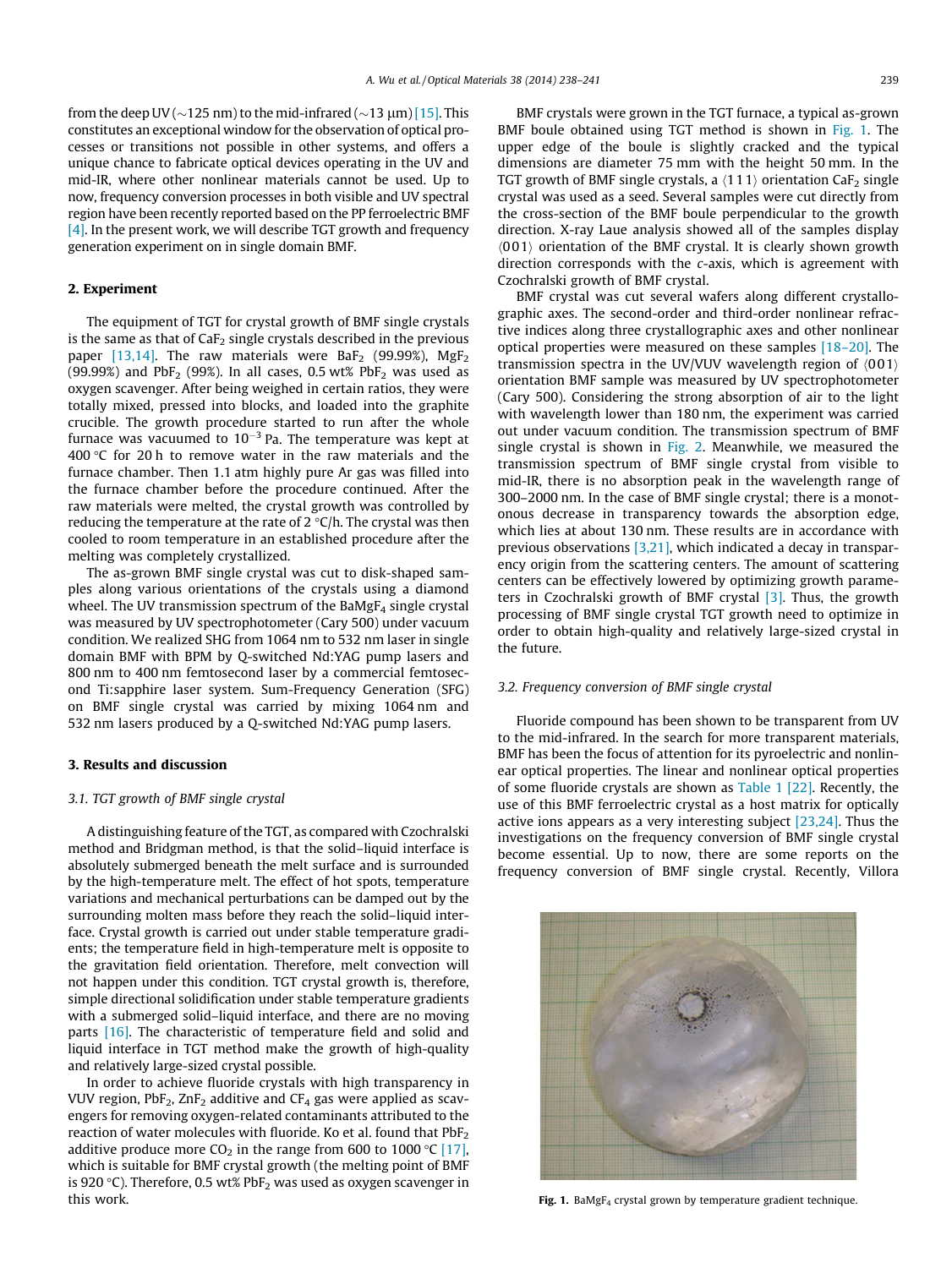from the deep UV ( $\sim$ 125 nm) to the mid-infrared ( $\sim$ 13  $\mu$ m) [\[15\].](#page-3-0) This constitutes an exceptional window for the observation of optical processes or transitions not possible in other systems, and offers a unique chance to fabricate optical devices operating in the UV and mid-IR, where other nonlinear materials cannot be used. Up to now, frequency conversion processes in both visible and UV spectral region have been recently reported based on the PP ferroelectric BMF [\[4\]](#page-3-0). In the present work, we will describe TGT growth and frequency generation experiment on in single domain BMF.

# 2. Experiment

The equipment of TGT for crystal growth of BMF single crystals is the same as that of  $CaF<sub>2</sub>$  single crystals described in the previous paper [\[13,14\].](#page-3-0) The raw materials were BaF<sub>2</sub> (99.99%), MgF<sub>2</sub> (99.99%) and PbF<sub>2</sub> (99%). In all cases, 0.5 wt% PbF<sub>2</sub> was used as oxygen scavenger. After being weighed in certain ratios, they were totally mixed, pressed into blocks, and loaded into the graphite crucible. The growth procedure started to run after the whole furnace was vacuumed to  $10^{-3}$  Pa. The temperature was kept at 400 $\degree$ C for 20 h to remove water in the raw materials and the furnace chamber. Then 1.1 atm highly pure Ar gas was filled into the furnace chamber before the procedure continued. After the raw materials were melted, the crystal growth was controlled by reducing the temperature at the rate of  $2 °C/h$ . The crystal was then cooled to room temperature in an established procedure after the melting was completely crystallized.

The as-grown BMF single crystal was cut to disk-shaped samples along various orientations of the crystals using a diamond wheel. The UV transmission spectrum of the  $BaMgF<sub>4</sub>$  single crystal was measured by UV spectrophotometer (Cary 500) under vacuum condition. We realized SHG from 1064 nm to 532 nm laser in single domain BMF with BPM by Q-switched Nd:YAG pump lasers and 800 nm to 400 nm femtosecond laser by a commercial femtosecond Ti:sapphire laser system. Sum-Frequency Generation (SFG) on BMF single crystal was carried by mixing 1064 nm and 532 nm lasers produced by a Q-switched Nd:YAG pump lasers.

# 3. Results and discussion

# 3.1. TGT growth of BMF single crystal

A distinguishing feature of the TGT, as compared with Czochralski method and Bridgman method, is that the solid–liquid interface is absolutely submerged beneath the melt surface and is surrounded by the high-temperature melt. The effect of hot spots, temperature variations and mechanical perturbations can be damped out by the surrounding molten mass before they reach the solid–liquid interface. Crystal growth is carried out under stable temperature gradients; the temperature field in high-temperature melt is opposite to the gravitation field orientation. Therefore, melt convection will not happen under this condition. TGT crystal growth is, therefore, simple directional solidification under stable temperature gradients with a submerged solid–liquid interface, and there are no moving parts [\[16\].](#page-3-0) The characteristic of temperature field and solid and liquid interface in TGT method make the growth of high-quality and relatively large-sized crystal possible.

In order to achieve fluoride crystals with high transparency in VUV region, PbF<sub>2</sub>, ZnF<sub>2</sub> additive and CF<sub>4</sub> gas were applied as scavengers for removing oxygen-related contaminants attributed to the reaction of water molecules with fluoride. Ko et al. found that  $PbF_2$ additive produce more  $CO<sub>2</sub>$  in the range from 600 to 1000 °C [\[17\],](#page-3-0) which is suitable for BMF crystal growth (the melting point of BMF is 920 °C). Therefore, 0.5 wt% PbF<sub>2</sub> was used as oxygen scavenger in this work.

BMF crystals were grown in the TGT furnace, a typical as-grown BMF boule obtained using TGT method is shown in Fig. 1. The upper edge of the boule is slightly cracked and the typical dimensions are diameter 75 mm with the height 50 mm. In the TGT growth of BMF single crystals, a  $\langle 111 \rangle$  orientation CaF<sub>2</sub> single crystal was used as a seed. Several samples were cut directly from the cross-section of the BMF boule perpendicular to the growth direction. X-ray Laue analysis showed all of the samples display  $\langle 001 \rangle$  orientation of the BMF crystal. It is clearly shown growth direction corresponds with the c-axis, which is agreement with Czochralski growth of BMF crystal.

BMF crystal was cut several wafers along different crystallographic axes. The second-order and third-order nonlinear refractive indices along three crystallographic axes and other nonlinear optical properties were measured on these samples [\[18–20\].](#page-3-0) The transmission spectra in the UV/VUV wavelength region of  $\langle 001 \rangle$ orientation BMF sample was measured by UV spectrophotometer (Cary 500). Considering the strong absorption of air to the light with wavelength lower than 180 nm, the experiment was carried out under vacuum condition. The transmission spectrum of BMF single crystal is shown in [Fig. 2.](#page-2-0) Meanwhile, we measured the transmission spectrum of BMF single crystal from visible to mid-IR, there is no absorption peak in the wavelength range of 300–2000 nm. In the case of BMF single crystal; there is a monotonous decrease in transparency towards the absorption edge, which lies at about 130 nm. These results are in accordance with previous observations [\[3,21\]](#page-3-0), which indicated a decay in transparency origin from the scattering centers. The amount of scattering centers can be effectively lowered by optimizing growth parameters in Czochralski growth of BMF crystal [\[3\].](#page-3-0) Thus, the growth processing of BMF single crystal TGT growth need to optimize in order to obtain high-quality and relatively large-sized crystal in the future.

#### 3.2. Frequency conversion of BMF single crystal

Fluoride compound has been shown to be transparent from UV to the mid-infrared. In the search for more transparent materials, BMF has been the focus of attention for its pyroelectric and nonlinear optical properties. The linear and nonlinear optical properties of some fluoride crystals are shown as [Table 1](#page-2-0) [\[22\]](#page-3-0). Recently, the use of this BMF ferroelectric crystal as a host matrix for optically active ions appears as a very interesting subject [\[23,24\].](#page-3-0) Thus the investigations on the frequency conversion of BMF single crystal become essential. Up to now, there are some reports on the frequency conversion of BMF single crystal. Recently, Villora



Fig. 1. BaMg $F_4$  crystal grown by temperature gradient technique.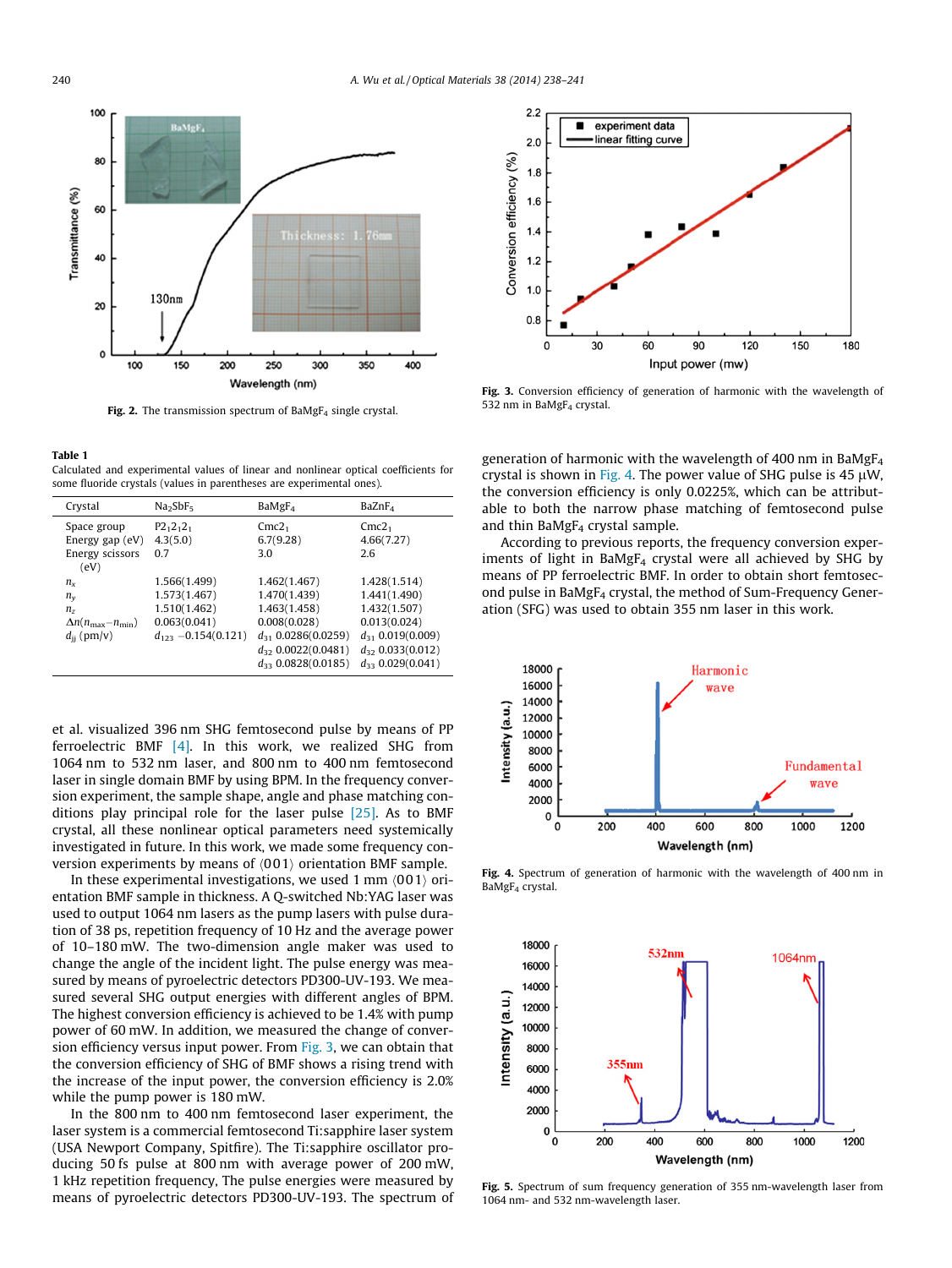<span id="page-2-0"></span>

Fig. 2. The transmission spectrum of BaMg $F_4$  single crystal.

#### Table 1

Calculated and experimental values of linear and nonlinear optical coefficients for some fluoride crystals (values in parentheses are experimental ones).

| Crystal                                                                        | Na <sub>2</sub> SbF <sub>5</sub>                                        | BaMgF <sub>4</sub>                                                                                                            | BaZnF <sub>4</sub>                                                                                                      |
|--------------------------------------------------------------------------------|-------------------------------------------------------------------------|-------------------------------------------------------------------------------------------------------------------------------|-------------------------------------------------------------------------------------------------------------------------|
| Space group<br>Energy gap (eV)<br>Energy scissors<br>(eV)<br>$n_{x}$           | $P2_12_12_1$<br>4.3(5.0)<br>0.7<br>1.566(1.499)                         | Cmc2 <sub>1</sub><br>6.7(9.28)<br>3.0<br>1.462(1.467)                                                                         | Cmc2 <sub>1</sub><br>4.66(7.27)<br>2.6<br>1.428(1.514)                                                                  |
| $n_v$<br>$n_z$<br>$\Delta n(n_{\text{max}}-n_{\text{min}})$<br>$d_{ii}$ (pm/v) | 1.573(1.467)<br>1.510(1.462)<br>0.063(0.041)<br>$d_{123}$ -0.154(0.121) | 1.470(1.439)<br>1.463(1.458)<br>0.008(0.028)<br>$d_{31}$ 0.0286(0.0259)<br>$d_{32}$ 0.0022(0.0481)<br>$d_{33}$ 0.0828(0.0185) | 1.441(1.490)<br>1.432(1.507)<br>0.013(0.024)<br>$d_{31}$ 0.019(0.009)<br>$d_{32}$ 0.033(0.012)<br>$d_{33}$ 0.029(0.041) |

et al. visualized 396 nm SHG femtosecond pulse by means of PP ferroelectric BMF [\[4\].](#page-3-0) In this work, we realized SHG from 1064 nm to 532 nm laser, and 800 nm to 400 nm femtosecond laser in single domain BMF by using BPM. In the frequency conversion experiment, the sample shape, angle and phase matching conditions play principal role for the laser pulse [\[25\].](#page-3-0) As to BMF crystal, all these nonlinear optical parameters need systemically investigated in future. In this work, we made some frequency conversion experiments by means of  $(001)$  orientation BMF sample.

In these experimental investigations, we used 1 mm  $(001)$  orientation BMF sample in thickness. A Q-switched Nb:YAG laser was used to output 1064 nm lasers as the pump lasers with pulse duration of 38 ps, repetition frequency of 10 Hz and the average power of 10–180 mW. The two-dimension angle maker was used to change the angle of the incident light. The pulse energy was measured by means of pyroelectric detectors PD300-UV-193. We measured several SHG output energies with different angles of BPM. The highest conversion efficiency is achieved to be 1.4% with pump power of 60 mW. In addition, we measured the change of conversion efficiency versus input power. From Fig. 3, we can obtain that the conversion efficiency of SHG of BMF shows a rising trend with the increase of the input power, the conversion efficiency is 2.0% while the pump power is 180 mW.

In the 800 nm to 400 nm femtosecond laser experiment, the laser system is a commercial femtosecond Ti:sapphire laser system (USA Newport Company, Spitfire). The Ti:sapphire oscillator producing 50 fs pulse at 800 nm with average power of 200 mW, 1 kHz repetition frequency, The pulse energies were measured by means of pyroelectric detectors PD300-UV-193. The spectrum of



Fig. 3. Conversion efficiency of generation of harmonic with the wavelength of 532 nm in BaMgF<sub>4</sub> crystal.

generation of harmonic with the wavelength of 400 nm in BaMgF<sub>4</sub> crystal is shown in Fig. 4. The power value of SHG pulse is 45  $\mu$ W, the conversion efficiency is only 0.0225%, which can be attributable to both the narrow phase matching of femtosecond pulse and thin  $BaMgF<sub>4</sub>$  crystal sample.

According to previous reports, the frequency conversion experiments of light in  $BaMgF_4$  crystal were all achieved by SHG by means of PP ferroelectric BMF. In order to obtain short femtosecond pulse in BaMgF4 crystal, the method of Sum-Frequency Generation (SFG) was used to obtain 355 nm laser in this work.



Fig. 4. Spectrum of generation of harmonic with the wavelength of 400 nm in BaMgF4 crystal.



Fig. 5. Spectrum of sum frequency generation of 355 nm-wavelength laser from 1064 nm- and 532 nm-wavelength laser.